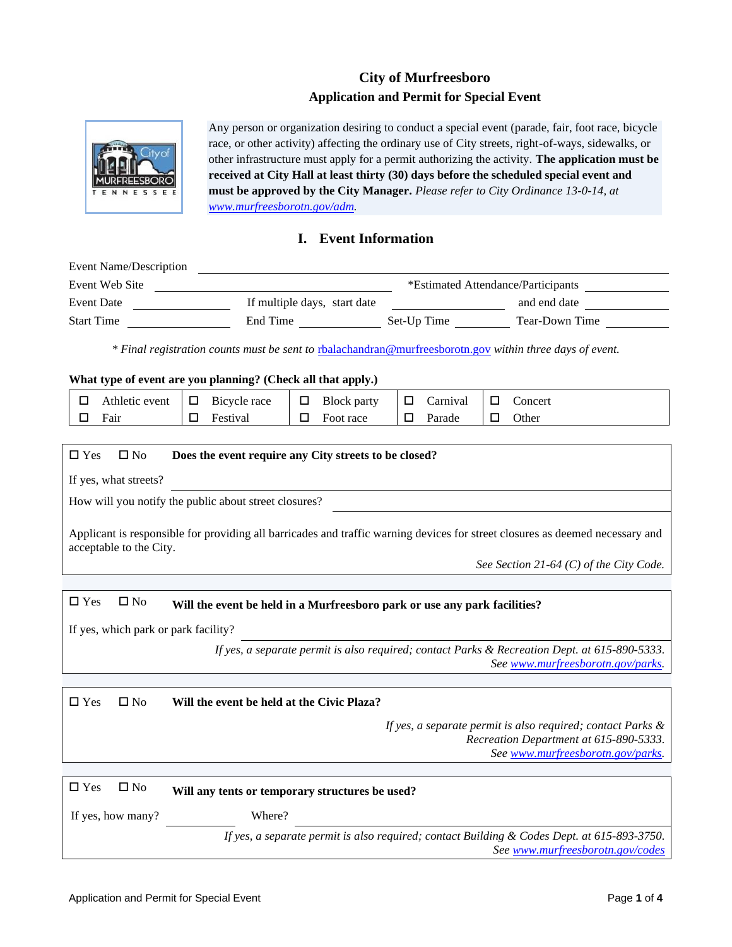# **City of Murfreesboro Application and Permit for Special Event**



Any person or organization desiring to conduct a special event (parade, fair, foot race, bicycle race, or other activity) affecting the ordinary use of City streets, right-of-ways, sidewalks, or other infrastructure must apply for a permit authorizing the activity. **The application must be received at City Hall at least thirty (30) days before the scheduled special event and must be approved by the City Manager.** *Please refer to City Ordinance 13-0-14, at www.murfreesborotn.gov[/adm.](http://www.murfreesborotn.gov/adm)*

### **I. Event Information**

| Event Name/Description                                                                                                                                                                              | <u> 1989 - Jan Stein Stein, fransk politik (f. 1989)</u>                                                                                      |  |  |  |
|-----------------------------------------------------------------------------------------------------------------------------------------------------------------------------------------------------|-----------------------------------------------------------------------------------------------------------------------------------------------|--|--|--|
| Event Web Site                                                                                                                                                                                      | *Estimated Attendance/Participants<br><u> 1989 - Johann Barbara, martin amerikan basal da</u>                                                 |  |  |  |
| <b>Event Date</b>                                                                                                                                                                                   | If multiple days, start date<br>and end date                                                                                                  |  |  |  |
| <b>Start Time</b>                                                                                                                                                                                   |                                                                                                                                               |  |  |  |
|                                                                                                                                                                                                     | * Final registration counts must be sent to rhalachandran@murfreesborotn.gov within three days of event.                                      |  |  |  |
|                                                                                                                                                                                                     | What type of event are you planning? (Check all that apply.)                                                                                  |  |  |  |
| Athletic event<br>□                                                                                                                                                                                 | □<br>Bicycle race<br>□<br>Carnival<br><b>Block</b> party<br>□<br>Concert                                                                      |  |  |  |
| □<br>Fair                                                                                                                                                                                           | Festival<br>$\Box$<br>Foot race<br>□<br>Parade<br>Other<br>□<br>□                                                                             |  |  |  |
| $\Box$ Yes<br>$\square$ No                                                                                                                                                                          | Does the event require any City streets to be closed?<br>If yes, what streets?                                                                |  |  |  |
|                                                                                                                                                                                                     | How will you notify the public about street closures?                                                                                         |  |  |  |
| Applicant is responsible for providing all barricades and traffic warning devices for street closures as deemed necessary and<br>acceptable to the City.<br>See Section 21-64 (C) of the City Code. |                                                                                                                                               |  |  |  |
|                                                                                                                                                                                                     |                                                                                                                                               |  |  |  |
| $\square$ Yes<br>$\square$ No                                                                                                                                                                       | Will the event be held in a Murfreesboro park or use any park facilities?                                                                     |  |  |  |
| If yes, which park or park facility?                                                                                                                                                                |                                                                                                                                               |  |  |  |
| If yes, a separate permit is also required; contact Parks & Recreation Dept. at 615-890-5333.<br>See www.murfreesborotn.gov/parks.                                                                  |                                                                                                                                               |  |  |  |
|                                                                                                                                                                                                     |                                                                                                                                               |  |  |  |
| $\square$ Yes<br>$\square$ No                                                                                                                                                                       | Will the event be held at the Civic Plaza?                                                                                                    |  |  |  |
|                                                                                                                                                                                                     | If yes, a separate permit is also required; contact Parks $\&$<br>Recreation Department at 615-890-5333.<br>See www.murfreesborotn.gov/parks. |  |  |  |
|                                                                                                                                                                                                     |                                                                                                                                               |  |  |  |
| $\Box$ Yes<br>$\square$ No                                                                                                                                                                          | Will any tents or temporary structures be used?                                                                                               |  |  |  |
| If yes, how many?                                                                                                                                                                                   | Where?                                                                                                                                        |  |  |  |
|                                                                                                                                                                                                     | If yes, a separate permit is also required; contact Building & Codes Dept. at 615-893-3750.<br>See www.murfreesborotn.gov/codes               |  |  |  |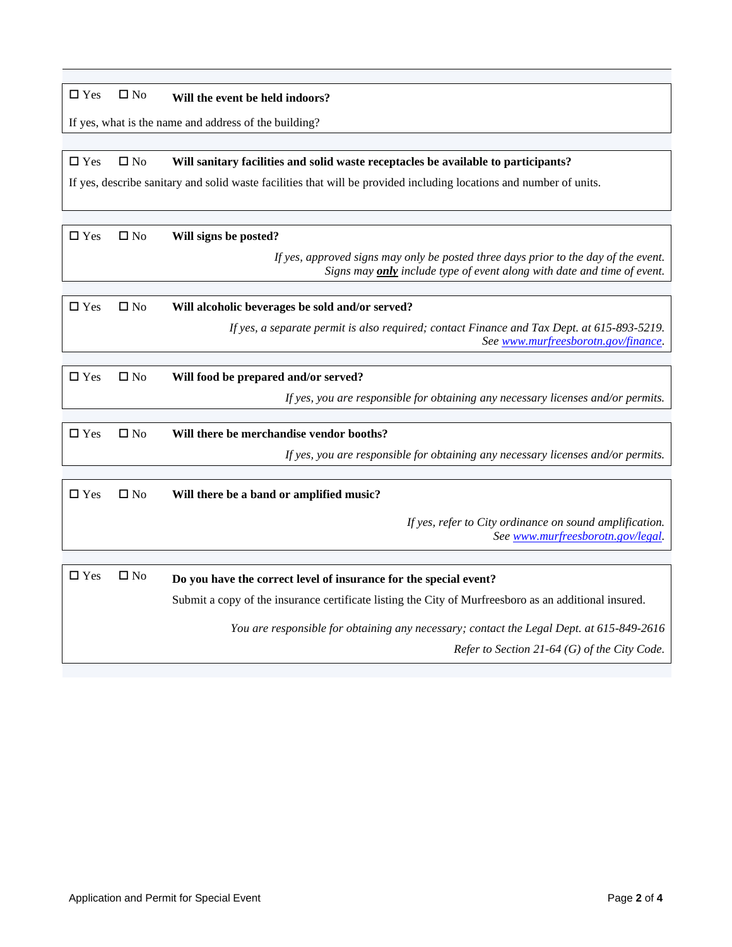## Yes No **Will the event be held indoors?**

If yes, what is the name and address of the building?

### Yes No **Will sanitary facilities and solid waste receptacles be available to participants?**

If yes, describe sanitary and solid waste facilities that will be provided including locations and number of units.

Yes No **Will signs be posted?**

*If yes, approved signs may only be posted three days prior to the day of the event. Signs may only include type of event along with date and time of event.*

| $\Box$ Yes | $\Box$ No | Will alcoholic beverages be sold and/or served?                                                                                   |  |
|------------|-----------|-----------------------------------------------------------------------------------------------------------------------------------|--|
|            |           | If yes, a separate permit is also required; contact Finance and Tax Dept. at 615-893-5219.<br>See www.murfreesborotn.gov/finance. |  |

| $\Box$ Yes | $\Box$ No | Will food be prepared and/or served?                                             |  |
|------------|-----------|----------------------------------------------------------------------------------|--|
|            |           | If yes, you are responsible for obtaining any necessary licenses and/or permits. |  |

| $\Box$ Yes | $\Box$ No | Will there be merchandise vendor booths?                                         |  |
|------------|-----------|----------------------------------------------------------------------------------|--|
|            |           | If yes, you are responsible for obtaining any necessary licenses and/or permits. |  |
|            |           |                                                                                  |  |

| $\Box$ Yes    | $\square$ No | Will there be a band or amplified music?                                                                                                                                   |  |  |  |
|---------------|--------------|----------------------------------------------------------------------------------------------------------------------------------------------------------------------------|--|--|--|
|               |              | If yes, refer to City ordinance on sound amplification.<br>See www.murfreesborotn.gov/legal.                                                                               |  |  |  |
|               |              |                                                                                                                                                                            |  |  |  |
| $\square$ Yes | $\square$ No | Do you have the correct level of insurance for the special event?<br>Submit a copy of the insurance certificate listing the City of Murfreesboro as an additional insured. |  |  |  |

*You are responsible for obtaining any necessary; contact the Legal Dept. at 615-849-2616 Refer to Section 21-64 (G) of the City Code.*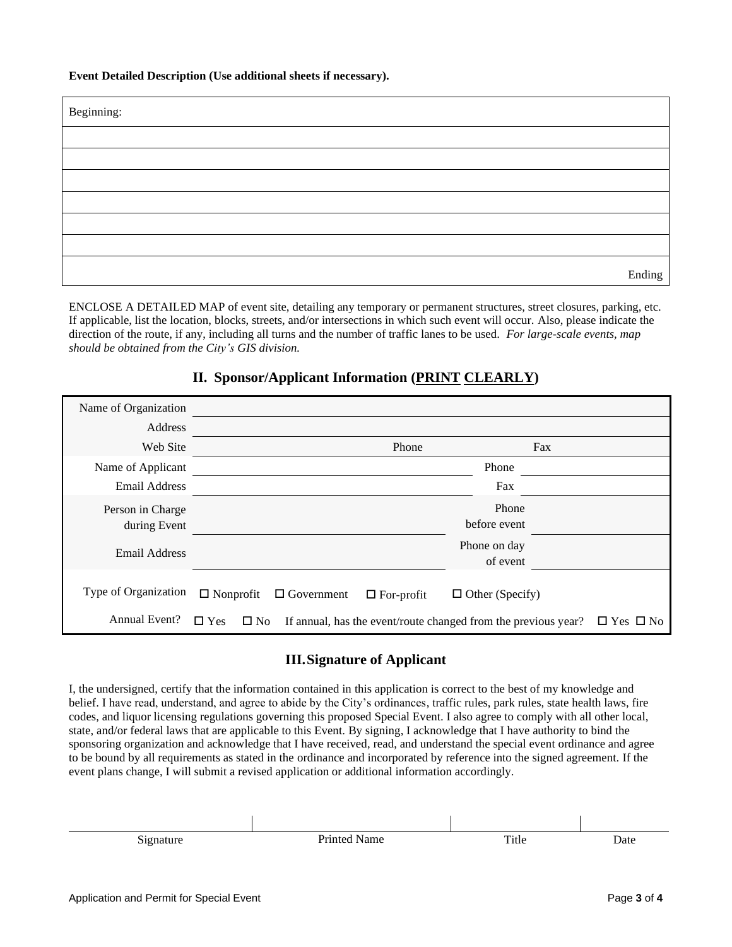#### **Event Detailed Description (Use additional sheets if necessary).**

| Beginning: |        |
|------------|--------|
|            |        |
|            |        |
|            |        |
|            |        |
|            |        |
|            |        |
|            | Ending |

ENCLOSE A DETAILED MAP of event site, detailing any temporary or permanent structures, street closures, parking, etc. If applicable, list the location, blocks, streets, and/or intersections in which such event will occur. Also, please indicate the direction of the route, if any, including all turns and the number of traffic lanes to be used. *For large-scale events, map should be obtained from the City's GIS division.*

### **II. Sponsor/Applicant Information (PRINT CLEARLY)**

| Name of Organization             |                                                                                                 |                          |
|----------------------------------|-------------------------------------------------------------------------------------------------|--------------------------|
| Address                          |                                                                                                 |                          |
| Web Site                         | Phone                                                                                           | Fax                      |
| Name of Applicant                |                                                                                                 | Phone                    |
| <b>Email Address</b>             |                                                                                                 | Fax                      |
| Person in Charge<br>during Event |                                                                                                 | Phone<br>before event    |
| Email Address                    |                                                                                                 | Phone on day<br>of event |
| Type of Organization             | $\Box$ Nonprofit<br>$\Box$ Government<br>$\Box$ For-profit                                      | $\Box$ Other (Specify)   |
| Annual Event?                    | $\square$ Yes<br>$\square$ No<br>If annual, has the event/route changed from the previous year? | $\Box$ Yes $\Box$ No     |

### **III.Signature of Applicant**

I, the undersigned, certify that the information contained in this application is correct to the best of my knowledge and belief. I have read, understand, and agree to abide by the City's ordinances, traffic rules, park rules, state health laws, fire codes, and liquor licensing regulations governing this proposed Special Event. I also agree to comply with all other local, state, and/or federal laws that are applicable to this Event. By signing, I acknowledge that I have authority to bind the sponsoring organization and acknowledge that I have received, read, and understand the special event ordinance and agree to be bound by all requirements as stated in the ordinance and incorporated by reference into the signed agreement. If the event plans change, I will submit a revised application or additional information accordingly.